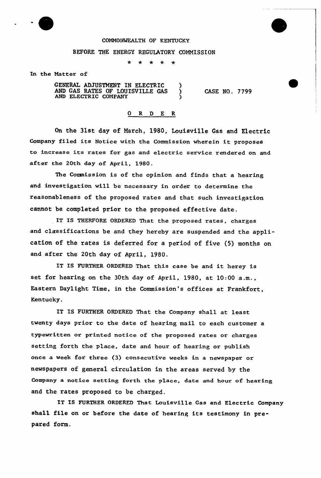

## COMMONWEALTH OF KENTUCKY

## BEFORE THE ENERGY REGULATORY COMMISSION

 $\star$  $\star$  $\star$  $\rightarrow$ 

In the Natter of

GENERAL ADJUSTMENT IN ELECTRIC )<br>AND GAS RATES OF LOUISVILLE GAS ) AND GAS RATES OF LOUISVILLE GAS ) AND ELECTRIC COMPANY )

CASE NO. 7799

## 0 R <sup>D</sup> E R

On the 31st day of March, 1980, Louisville Gas and Electric Company filed its Notice with the Commission wherein it proposes to increase its rates for gas and electric service rendered on and after the 20th day of April, 1980.

The Commission is of the opinion and finds that a hearing and investigation will be necessary in order to determine the reasonableness of the proposed rates and that such investigation cannot be completed prior to the proposed effective date.

IT IS THERFORE ORDERED That the proposed rates, charges and classifications be and they hereby are suspended and the application of the rates is deferred for a period of five (5) months on and after the 20th day of April, 1980.

IT IS FURTHER ORDERED That this case be and it herey is set for hearing on the 30th day of April, 1980, at 10:00 a.m., Eastern Daylight Time, in the Commission's offices at Frankfort, Kentucky.

IT IS FURTHER ORDERED That the Company shall at least twenty days prior to the date of hearing mail to each customer a typewritten or printed notice of the proposed rates or charges setting forth the place, date and hour of hearing or publish once a week for three (3) consecutive weeks in a newspaper or newspapers of general circulation in the areas served by the Company a notice setting forth the place, date and hour of hearing and the rates proposed to be charged.

IT IS FURTHER ORDERED That Louisville Gas and Electric Company shall file on or before the date of hearing its testimony in prepared form.